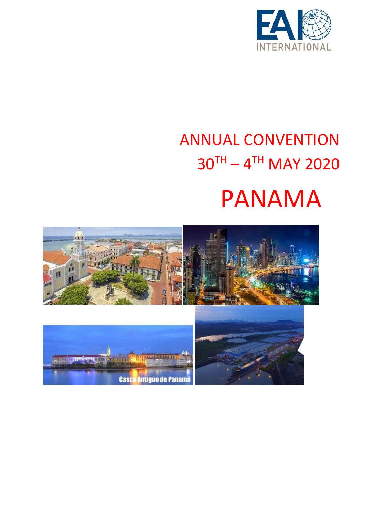

## ANNUAL CONVENTION  $30^{TH} - 4^{TH}$  MAY 2020

# PANAMA

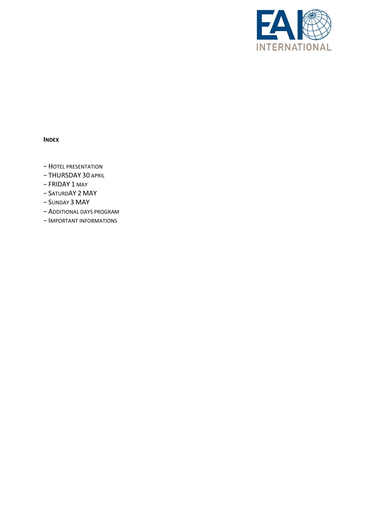

#### **INDEX**

- − HOTEL PRESENTATION
- − THURSDAY 30 APRIL
- − FRIDAY 1 MAY
- − SATURDAY 2 MAY
- − SUNDAY 3 MAY
- − ADDITIONAL DAYS PROGRAM
- − IMPORTANT INFORMATIONS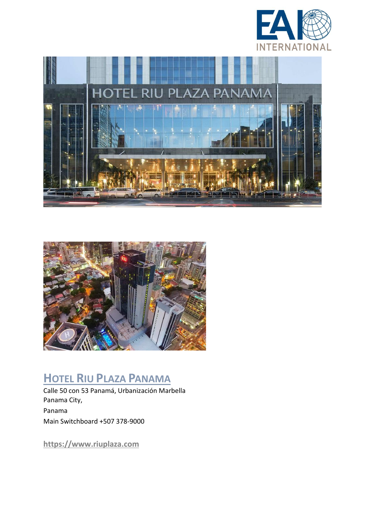





## **HOTEL RIU PLAZA PANAMA**

Calle 50 con 53 Panamá, Urbanización Marbella Panama City, Panama Main Switchboard +507 378-9000

**https://www.riuplaza.com**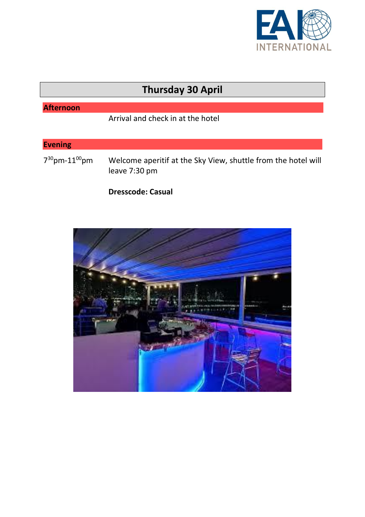

## **Thursday 30 April**

### **Afternoon**

Arrival and check in at the hotel

### **Evening**

7 <sup>30</sup>pm-11 Welcome aperitif at the Sky View, shuttle from the hotel will leave 7:30 pm

#### **Dresscode: Casual**

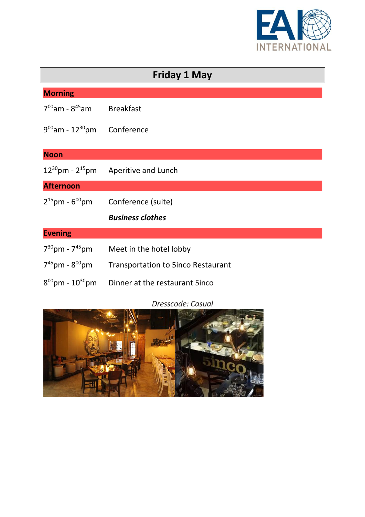

| <b>Friday 1 May</b>               |                                           |  |
|-----------------------------------|-------------------------------------------|--|
| <b>Morning</b>                    |                                           |  |
| $7^{00}$ am - 8 <sup>45</sup> am  | <b>Breakfast</b>                          |  |
| $9^{00}$ am - 12 <sup>30</sup> pm | Conference                                |  |
| <b>Noon</b>                       |                                           |  |
| $12^{30}$ pm - $2^{15}$ pm        | <b>Aperitive and Lunch</b>                |  |
| <b>Afternoon</b>                  |                                           |  |
| $2^{15}$ pm - 6 <sup>00</sup> pm  | Conference (suite)                        |  |
|                                   | <b>Business clothes</b>                   |  |
| <b>Evening</b>                    |                                           |  |
| $7^{30}$ pm - $7^{45}$ pm         | Meet in the hotel lobby                   |  |
| $7^{45}$ pm - $8^{00}$ pm         | <b>Transportation to 5inco Restaurant</b> |  |
| $8^{00}$ pm - 10 <sup>30</sup> pm | Dinner at the restaurant 5inco            |  |

### *Dresscode: Casual*

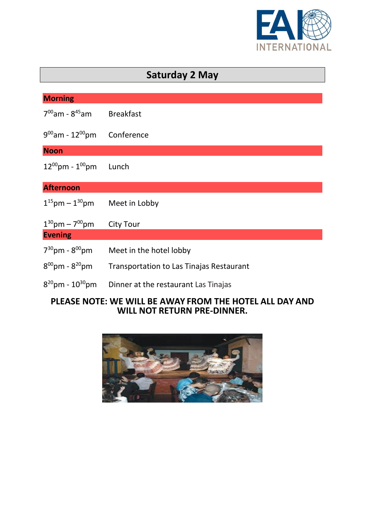

| <b>Saturday 2 May</b>             |                                                 |  |
|-----------------------------------|-------------------------------------------------|--|
|                                   |                                                 |  |
| <b>Morning</b>                    |                                                 |  |
| $7^{00}$ am - 8 <sup>45</sup> am  | <b>Breakfast</b>                                |  |
| $9^{00}$ am - 12 $^{00}$ pm       | Conference                                      |  |
| <b>Noon</b>                       |                                                 |  |
| $12^{00}$ pm - $1^{00}$ pm        | Lunch                                           |  |
| <b>Afternoon</b>                  |                                                 |  |
| $1^{15}$ pm – $1^{30}$ pm         | Meet in Lobby                                   |  |
| $1^{30}$ pm – 7 <sup>00</sup> pm  | <b>City Tour</b>                                |  |
| <b>Evening</b>                    |                                                 |  |
| $7^{30}$ pm - $8^{00}$ pm         | Meet in the hotel lobby                         |  |
| $8^{00}$ pm - $8^{20}$ pm         | <b>Transportation to Las Tinajas Restaurant</b> |  |
| $8^{20}$ pm - 10 <sup>30</sup> pm | Dinner at the restaurant Las Tinajas            |  |

#### **PLEASE NOTE: WE WILL BE AWAY FROM THE HOTEL ALL DAY AND WILL NOT RETURN PRE-DINNER.**

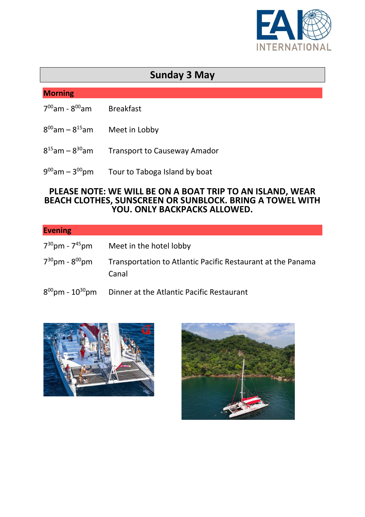

## **Sunday 3 May**

#### **Morning**

- 7 <sup>00</sup>am 8 **Breakfast**
- $8^{00}$ am  $8$ Meet in Lobby
- $8^{15}$ am 8 Transport to Causeway Amador
- $9^{00}$ am 3 Tour to Taboga Island by boat

#### **PLEASE NOTE: WE WILL BE ON A BOAT TRIP TO AN ISLAND, WEAR BEACH CLOTHES, SUNSCREEN OR SUNBLOCK. BRING A TOWEL WITH YOU. ONLY BACKPACKS ALLOWED.**

| <b>Evening</b>                                         |                                                                                        |
|--------------------------------------------------------|----------------------------------------------------------------------------------------|
| $7^{30}$ pm - $7^{45}$ pm<br>$7^{30}$ pm - $8^{00}$ pm | Meet in the hotel lobby<br>Transportation to Atlantic Pacific Restaurant at the Panama |
|                                                        | Canal                                                                                  |
| $8^{00}$ pm - 10 <sup>30</sup> pm                      | Dinner at the Atlantic Pacific Restaurant                                              |